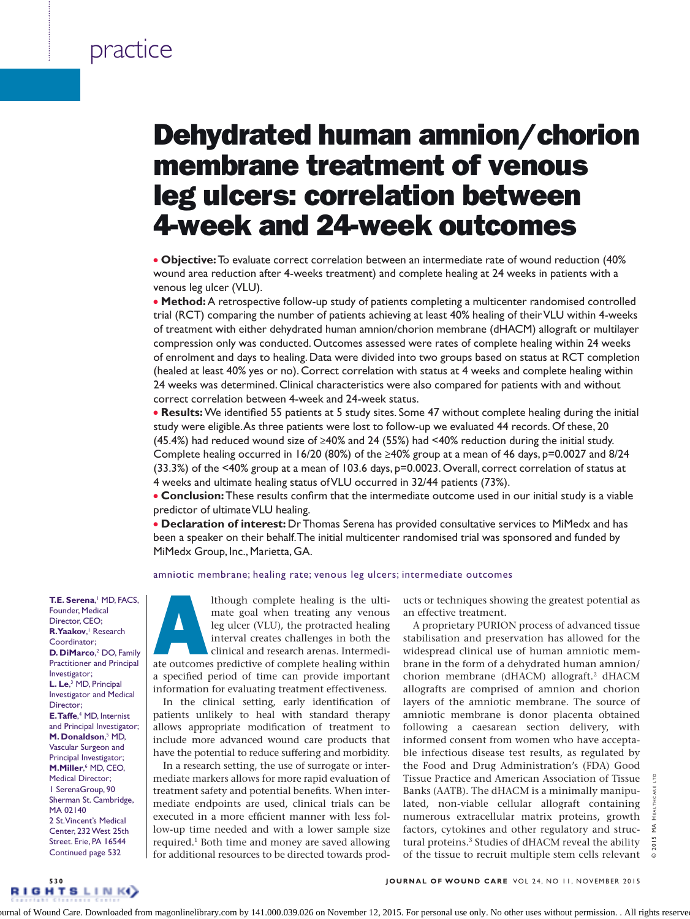# Dehydrated human amnion/chorion membrane treatment of venous leg ulcers: correlation between 4-week and 24-week outcomes

<sup>l</sup> **Objective:** To evaluate correct correlation between an intermediate rate of wound reduction (40% wound area reduction after 4-weeks treatment) and complete healing at 24 weeks in patients with a venous leg ulcer (VLU).

**Method:** A retrospective follow-up study of patients completing a multicenter randomised controlled trial (RCT) comparing the number of patients achieving at least 40% healing of their VLU within 4-weeks of treatment with either dehydrated human amnion/chorion membrane (dHACM) allograft or multilayer compression only was conducted. Outcomes assessed were rates of complete healing within 24 weeks of enrolment and days to healing. Data were divided into two groups based on status at RCT completion (healed at least 40% yes or no). Correct correlation with status at 4 weeks and complete healing within 24 weeks was determined. Clinical characteristics were also compared for patients with and without correct correlation between 4-week and 24-week status.

**Results:** We identified 55 patients at 5 study sites. Some 47 without complete healing during the initial study were eligible. As three patients were lost to follow-up we evaluated 44 records. Of these, 20 (45.4%) had reduced wound size of ≥40% and 24 (55%) had <40% reduction during the initial study. Complete healing occurred in 16/20 (80%) of the  $\geq$ 40% group at a mean of 46 days, p=0.0027 and 8/24 (33.3%) of the <40% group at a mean of 103.6 days, p=0.0023. Overall, correct correlation of status at 4 weeks and ultimate healing status of VLU occurred in 32/44 patients (73%).

**Conclusion:** These results confirm that the intermediate outcome used in our initial study is a viable predictor of ultimate VLU healing.

<sup>l</sup> **Declaration of interest:** Dr Thomas Serena has provided consultative services to MiMedx and has been a speaker on their behalf. The initial multicenter randomised trial was sponsored and funded by MiMedx Group, Inc., Marietta, GA.

#### amniotic membrane; healing rate; venous leg ulcers; intermediate outcomes

**T.E. Serena**, 1 MD, FACS, Founder, Medical Director, CEO; R. **Yaakov**, Research Coordinator; D. DiMarco,<sup>2</sup> DO, Family Practitioner and Principal Investigator; **L. Le**, 3 MD, Principal Investigator and Medical Director; **E. Taffe**,<sup>4</sup> MD, Internist and Principal Investigator; **M. Donaldson**,<sup>5</sup> MD, Vascular Surgeon and Principal Investigator; **M.Miller, MD, CEO,** Medical Director; 1 SerenaGroup, 90 Sherman St. Cambridge, MA 02140 2 St. Vincent's Medical Center, 232 West 25th Street. Erie, PA 16544 Continued page 532

Although complete healing is the ulti-<br>
mate goal when treating any venous<br>
leg ulcer (VLU), the protracted healing<br>
interval creates challenges in both the<br>
clinical and research arenas. Intermedi-<br>
ate outcomes predictiv mate goal when treating any venous leg ulcer (VLU), the protracted healing interval creates challenges in both the clinical and research arenas. Intermedia specified period of time can provide important information for evaluating treatment effectiveness.

In the clinical setting, early identification of patients unlikely to heal with standard therapy allows appropriate modification of treatment to include more advanced wound care products that have the potential to reduce suffering and morbidity.

In a research setting, the use of surrogate or intermediate markers allows for more rapid evaluation of treatment safety and potential benefits. When intermediate endpoints are used, clinical trials can be executed in a more efficient manner with less follow-up time needed and with a lower sample size required.<sup>1</sup> Both time and money are saved allowing for additional resources to be directed towards products or techniques showing the greatest potential as an effective treatment.

A proprietary PURION process of advanced tissue stabilisation and preservation has allowed for the widespread clinical use of human amniotic membrane in the form of a dehydrated human amnion/ chorion membrane (dHACM) allograft.2 dHACM allografts are comprised of amnion and chorion layers of the amniotic membrane. The source of amniotic membrane is donor placenta obtained following a caesarean section delivery, with informed consent from women who have acceptable infectious disease test results, as regulated by the Food and Drug Administration's (FDA) Good Tissue Practice and American Association of Tissue Banks (AATB). The dHACM is a minimally manipulated, non-viable cellular allograft containing numerous extracellular matrix proteins, growth factors, cytokines and other regulatory and structural proteins.<sup>3</sup> Studies of dHACM reveal the ability of the tissue to recruit multiple stem cells relevant

© 2015 MA HEALTHCARE LTD  $\frac{4}{2}$  $2015$ 

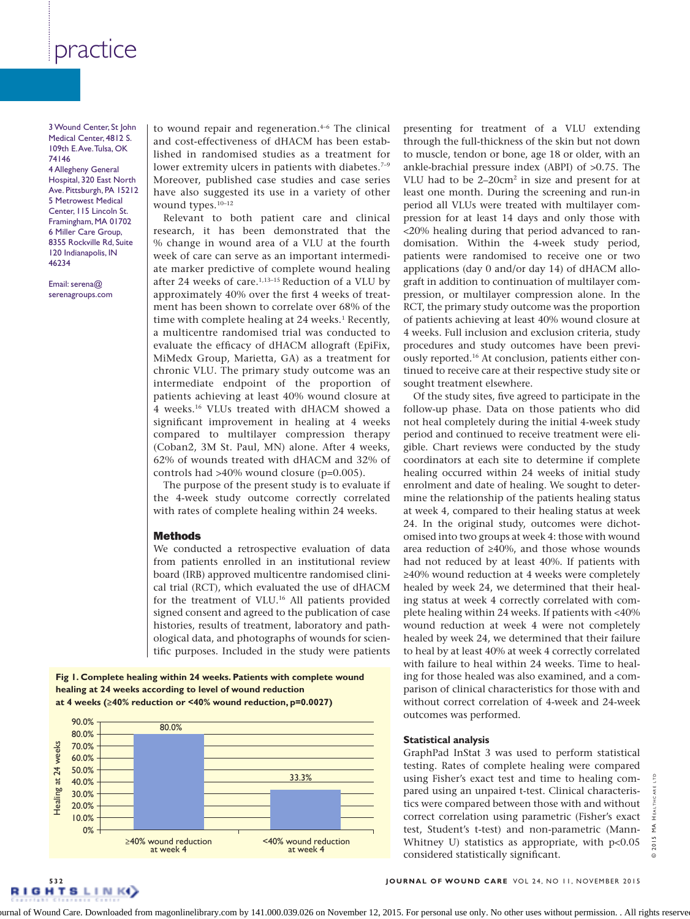3 Wound Center, St John Medical Center, 4812 S. 109th E. Ave. Tulsa, OK 74146 4 Allegheny General Hospital, 320 East North Ave. Pittsburgh, PA 15212 5 Metrowest Medical Center, 115 Lincoln St. Framingham, MA 01702 6 Miller Care Group, 8355 Rockville Rd, Suite 120 Indianapolis, IN 46234

Email: serena@ serenagroups.com to wound repair and regeneration.<sup>4-6</sup> The clinical and cost-effectiveness of dHACM has been established in randomised studies as a treatment for lower extremity ulcers in patients with diabetes.<sup>7-9</sup> Moreover, published case studies and case series have also suggested its use in a variety of other wound types.<sup>10-12</sup>

Relevant to both patient care and clinical research, it has been demonstrated that the % change in wound area of a VLU at the fourth week of care can serve as an important intermediate marker predictive of complete wound healing after 24 weeks of care. $1,13-15$  Reduction of a VLU by approximately 40% over the first 4 weeks of treatment has been shown to correlate over 68% of the time with complete healing at 24 weeks.<sup>1</sup> Recently, a multicentre randomised trial was conducted to evaluate the efficacy of dHACM allograft (EpiFix, MiMedx Group, Marietta, GA) as a treatment for chronic VLU. The primary study outcome was an intermediate endpoint of the proportion of patients achieving at least 40% wound closure at 4 weeks.16 VLUs treated with dHACM showed a significant improvement in healing at 4 weeks compared to multilayer compression therapy (Coban2, 3M St. Paul, MN) alone. After 4 weeks, 62% of wounds treated with dHACM and 32% of controls had >40% wound closure (p=0.005).

The purpose of the present study is to evaluate if the 4-week study outcome correctly correlated with rates of complete healing within 24 weeks.

#### **Methods**

We conducted a retrospective evaluation of data from patients enrolled in an institutional review board (IRB) approved multicentre randomised clinical trial (RCT), which evaluated the use of dHACM for the treatment of VLU.16 All patients provided signed consent and agreed to the publication of case histories, results of treatment, laboratory and pathological data, and photographs of wounds for scientific purposes. Included in the study were patients

### **Fig 1. Complete healing within 24 weeks. Patients with complete wound healing at 24 weeks according to level of wound reduction at 4 weeks (≥40% reduction or <40% wound reduction, p=0.0027)**



presenting for treatment of a VLU extending through the full-thickness of the skin but not down to muscle, tendon or bone, age 18 or older, with an ankle-brachial pressure index (ABPI) of >0.75. The VLU had to be 2–20cm2 in size and present for at least one month. During the screening and run-in period all VLUs were treated with multilayer compression for at least 14 days and only those with <20% healing during that period advanced to randomisation. Within the 4-week study period, patients were randomised to receive one or two applications (day 0 and/or day 14) of dHACM allograft in addition to continuation of multilayer compression, or multilayer compression alone. In the RCT, the primary study outcome was the proportion of patients achieving at least 40% wound closure at 4 weeks. Full inclusion and exclusion criteria, study procedures and study outcomes have been previously reported.16 At conclusion, patients either continued to receive care at their respective study site or sought treatment elsewhere.

Of the study sites, five agreed to participate in the follow-up phase. Data on those patients who did not heal completely during the initial 4-week study period and continued to receive treatment were eligible. Chart reviews were conducted by the study coordinators at each site to determine if complete healing occurred within 24 weeks of initial study enrolment and date of healing. We sought to determine the relationship of the patients healing status at week 4, compared to their healing status at week 24. In the original study, outcomes were dichotomised into two groups at week 4: those with wound area reduction of ≥40%, and those whose wounds had not reduced by at least 40%. If patients with ≥40% wound reduction at 4 weeks were completely healed by week 24, we determined that their healing status at week 4 correctly correlated with complete healing within 24 weeks. If patients with <40% wound reduction at week 4 were not completely healed by week 24, we determined that their failure to heal by at least 40% at week 4 correctly correlated with failure to heal within 24 weeks. Time to healing for those healed was also examined, and a comparison of clinical characteristics for those with and without correct correlation of 4-week and 24-week outcomes was performed.

#### **Statistical analysis**

GraphPad InStat 3 was used to perform statistical testing. Rates of complete healing were compared using Fisher's exact test and time to healing compared using an unpaired t-test. Clinical characteristics were compared between those with and without correct correlation using parametric (Fisher's exact test, Student's t-test) and non-parametric (Mann-Whitney U) statistics as appropriate, with  $p<0.05$ considered statistically significant.

© 2015 MA HEALTHCARE LTD ARE Ĕ  $\stackrel{\triangle}{\Sigma}$  $2015$  $\odot$ 

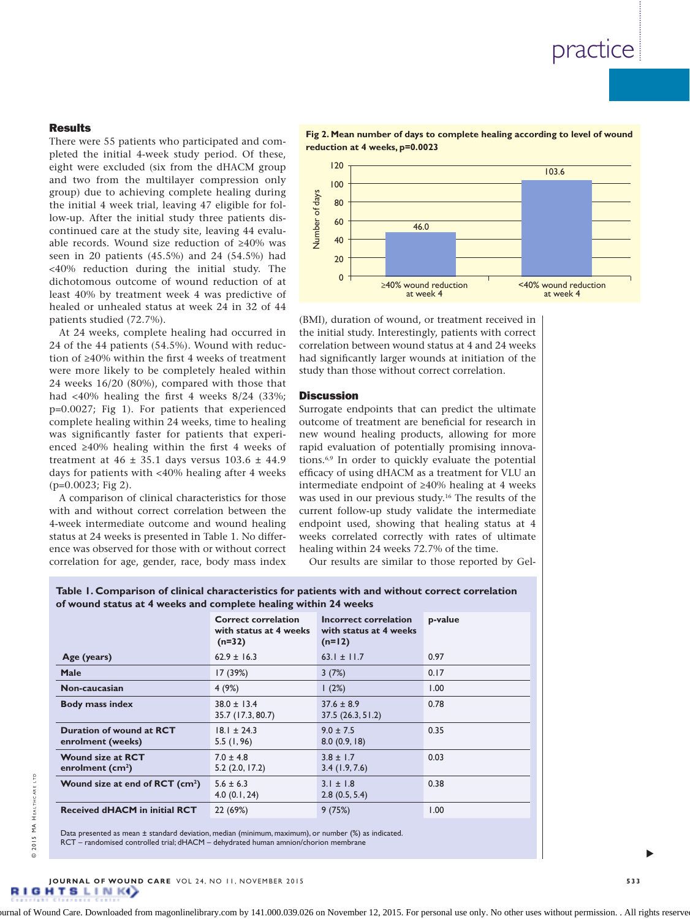### **Results**

There were 55 patients who participated and completed the initial 4-week study period. Of these, eight were excluded (six from the dHACM group and two from the multilayer compression only group) due to achieving complete healing during the initial 4 week trial, leaving 47 eligible for follow-up. After the initial study three patients discontinued care at the study site, leaving 44 evaluable records. Wound size reduction of ≥40% was seen in 20 patients (45.5%) and 24 (54.5%) had <40% reduction during the initial study. The dichotomous outcome of wound reduction of at least 40% by treatment week 4 was predictive of healed or unhealed status at week 24 in 32 of 44 patients studied (72.7%).

At 24 weeks, complete healing had occurred in 24 of the 44 patients (54.5%). Wound with reduction of ≥40% within the first 4 weeks of treatment were more likely to be completely healed within 24 weeks 16/20 (80%), compared with those that had <40% healing the first 4 weeks 8/24 (33%; p=0.0027; Fig 1). For patients that experienced complete healing within 24 weeks, time to healing was significantly faster for patients that experienced ≥40% healing within the first 4 weeks of treatment at  $46 \pm 35.1$  days versus  $103.6 \pm 44.9$ days for patients with <40% healing after 4 weeks (p=0.0023; Fig 2).

A comparison of clinical characteristics for those with and without correct correlation between the 4-week intermediate outcome and wound healing status at 24 weeks is presented in Table 1. No difference was observed for those with or without correct correlation for age, gender, race, body mass index

**Fig 2. Mean number of days to complete healing according to level of wound reduction at 4 weeks, p=0.0023**



(BMI), duration of wound, or treatment received in the initial study. Interestingly, patients with correct correlation between wound status at 4 and 24 weeks had significantly larger wounds at initiation of the study than those without correct correlation.

#### **Discussion**

Surrogate endpoints that can predict the ultimate outcome of treatment are beneficial for research in new wound healing products, allowing for more rapid evaluation of potentially promising innovations.6,9 In order to quickly evaluate the potential efficacy of using dHACM as a treatment for VLU an intermediate endpoint of ≥40% healing at 4 weeks was used in our previous study.16 The results of the current follow-up study validate the intermediate endpoint used, showing that healing status at 4 weeks correlated correctly with rates of ultimate healing within 24 weeks 72.7% of the time.

Our results are similar to those reported by Gel-

### **Table 1. Comparison of clinical characteristics for patients with and without correct correlation of wound status at 4 weeks and complete healing within 24 weeks**

|                                               | <b>Correct correlation</b><br>with status at 4 weeks<br>$(n=32)$ | Incorrect correlation<br>with status at 4 weeks<br>$(n=12)$ | p-value |
|-----------------------------------------------|------------------------------------------------------------------|-------------------------------------------------------------|---------|
| Age (years)                                   | $62.9 \pm 16.3$                                                  | 63.1 $\pm$ 11.7                                             | 0.97    |
| <b>Male</b>                                   | 17 (39%)                                                         | 3(7%)                                                       | 0.17    |
| Non-caucasian                                 | 4(9%)                                                            | 1(2%)                                                       | 1.00    |
| <b>Body mass index</b>                        | $38.0 \pm 13.4$<br>35.7 (17.3, 80.7)                             | $37.6 \pm 8.9$<br>37.5(26.3, 51.2)                          | 0.78    |
| Duration of wound at RCT<br>enrolment (weeks) | $18.1 \pm 24.3$<br>5.5(1, 96)                                    | $9.0 \pm 7.5$<br>8.0(0.9, 18)                               | 0.35    |
| <b>Wound size at RCT</b><br>enrolment $(cm2)$ | $7.0 \pm 4.8$<br>$5.2$ (2.0, 17.2)                               | $3.8 \pm 1.7$<br>3.4(1.9, 7.6)                              | 0.03    |
| Wound size at end of RCT (cm <sup>2</sup> )   | $5.6 \pm 6.3$<br>4.0(0.1, 24)                                    | $3.1 \pm 1.8$<br>2.8(0.5, 5.4)                              | 0.38    |
| <b>Received dHACM in initial RCT</b>          | 22 (69%)                                                         | 9(75%)                                                      | 1.00    |

Data presented as mean ± standard deviation, median (minimum, maximum), or number (%) as indicated RCT – randomised controlled trial; dHACM – dehydrated human amnion/chorion membrane

s